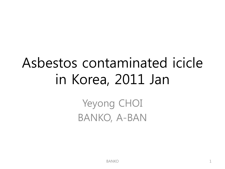## Asbestos contaminated icicle in Korea, 2011 Jan

Yeyong CHOI BANKO, A-BAN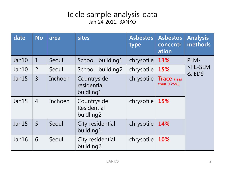## Icicle sample analysis data Jan 24 2011, BANKO

| date  | <b>No</b>      | area    | <b>sites</b>                                   | <b>Asbestos</b><br>type | <b>Asbestos</b><br>concentr<br>ation | <b>Analysis</b><br>methods |
|-------|----------------|---------|------------------------------------------------|-------------------------|--------------------------------------|----------------------------|
| Jan10 | $\mathbf{1}$   | Seoul   | School<br>building1                            | chrysotile              | 13%                                  | PLM-                       |
| Jan10 | $\overline{2}$ | Seoul   | building <sub>2</sub><br>School                | chrysotile              | <b>15%</b>                           | $>$ FE-SEM<br>& EDS        |
| Jan15 | $\overline{3}$ | Inchoen | Countryside<br>residential<br>buidling1        | chrysotile              | <b>Trace (less</b><br>then 0.25%)    |                            |
| Jan15 | $\overline{4}$ | Inchoen | Countryside<br><b>Residential</b><br>buidling2 | chrysotile              | 15%                                  |                            |
| Jan15 | 5              | Seoul   | City residential<br>building1                  | chrysotile              | 14%                                  |                            |
| Jan16 | 6              | Seoul   | City residential<br>building2                  | chrysotile              | 10%                                  |                            |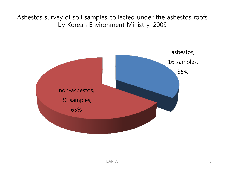Asbestos survey of soil samples collected under the asbestos roofs by Korean Environment Ministry, 2009

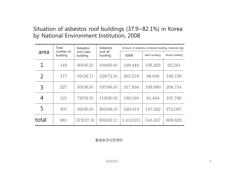## Situation of asbestos roof buildings (37.9~82.1%) in Korea by National Environment Institution, 2008.

|               | Total                 | Asbestos<br>roof main<br>building | Asbestos<br>roof all<br>buidling | Amount of asbestos contained building materials (kg) |               |                |
|---------------|-----------------------|-----------------------------------|----------------------------------|------------------------------------------------------|---------------|----------------|
| area          | number of<br>building |                                   |                                  | total                                                | Main building | Annex building |
|               | 149                   | 60(40.2)                          | 104(69.8)                        | 199,448                                              | 106,205       | 93,243         |
| $\mathcal{P}$ | 177                   | 65(36.7)                          | 129(72.9)                        | 285,576                                              | 98,846        | 186,730        |
| 3             | 227                   | 83(36.6)                          | 197(86.8)                        | 317,834                                              | 109,080       | 208,754        |
| 4             | 121                   | 72(59.5)                          | 110(90.9)                        | 189,194                                              | 81,404        | 107,790        |
| 5             | 307                   | 92(30.0)                          | 265(86.3)                        | 420,019                                              | 147,922       | 272,097        |
| total         | 981                   | 372(37.9)                         | 805(82.1)                        | 1,412,071                                            | 543,457       | 868,629        |

환경보건시민센터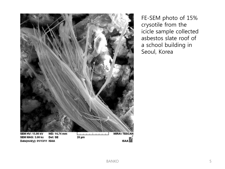

FE-SEM photo of 15% crysotile from the icicle sample collected asbestos slate roof of a school building in Seoul, Korea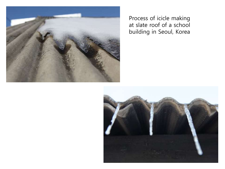

Process of icicle making at slate roof of a school building in Seoul, Korea

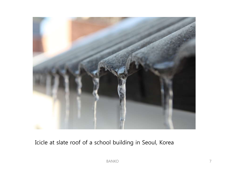

Icicle at slate roof of a school building in Seoul, Korea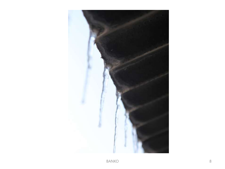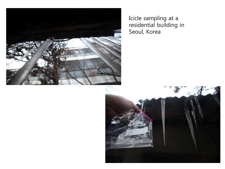

Icicle sampling at a residential building in Seoul, Korea